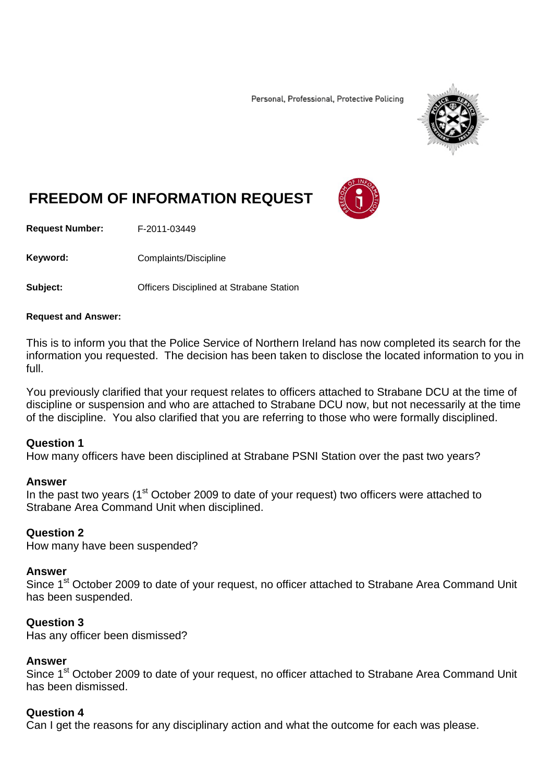Personal, Professional, Protective Policing



# **FREEDOM OF INFORMATION REQUEST**

**Request Number:** F-2011-03449

Keyword: Complaints/Discipline

**Subject: Conservers** Officers Disciplined at Strabane Station

#### **Request and Answer:**

This is to inform you that the Police Service of Northern Ireland has now completed its search for the information you requested. The decision has been taken to disclose the located information to you in full.

You previously clarified that your request relates to officers attached to Strabane DCU at the time of discipline or suspension and who are attached to Strabane DCU now, but not necessarily at the time of the discipline. You also clarified that you are referring to those who were formally disciplined.

#### **Question 1**

How many officers have been disciplined at Strabane PSNI Station over the past two years?

#### **Answer**

In the past two years  $(1<sup>st</sup> October 2009$  to date of your request) two officers were attached to Strabane Area Command Unit when disciplined.

#### **Question 2**

How many have been suspended?

#### **Answer**

Since 1<sup>st</sup> October 2009 to date of your request, no officer attached to Strabane Area Command Unit has been suspended.

#### **Question 3**

Has any officer been dismissed?

#### **Answer**

Since 1<sup>st</sup> October 2009 to date of your request, no officer attached to Strabane Area Command Unit has been dismissed.

### **Question 4**

Can I get the reasons for any disciplinary action and what the outcome for each was please.